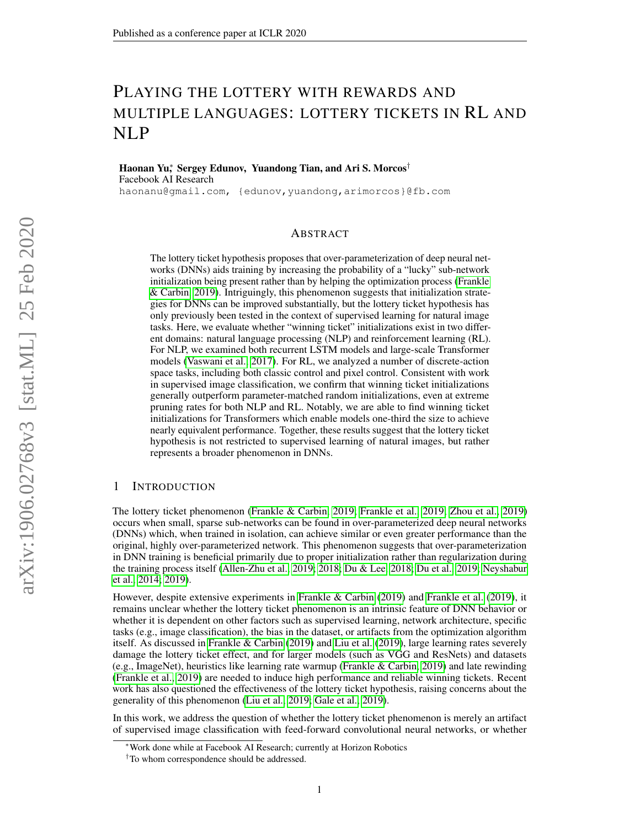# PLAYING THE LOTTERY WITH REWARDS AND MULTIPLE LANGUAGES: LOTTERY TICKETS IN RL AND NLP

Haonan Yu<sup>∗</sup> , Sergey Edunov, Yuandong Tian, and Ari S. Morcos† Facebook AI Research haonanu@gmail.com, {edunov,yuandong,arimorcos}@fb.com

## ABSTRACT

The lottery ticket hypothesis proposes that over-parameterization of deep neural networks (DNNs) aids training by increasing the probability of a "lucky" sub-network initialization being present rather than by helping the optimization process [\(Frankle](#page-8-0) [& Carbin, 2019\)](#page-8-0). Intriguingly, this phenomenon suggests that initialization strategies for DNNs can be improved substantially, but the lottery ticket hypothesis has only previously been tested in the context of supervised learning for natural image tasks. Here, we evaluate whether "winning ticket" initializations exist in two different domains: natural language processing (NLP) and reinforcement learning (RL). For NLP, we examined both recurrent LSTM models and large-scale Transformer models [\(Vaswani et al., 2017\)](#page-10-0). For RL, we analyzed a number of discrete-action space tasks, including both classic control and pixel control. Consistent with work in supervised image classification, we confirm that winning ticket initializations generally outperform parameter-matched random initializations, even at extreme pruning rates for both NLP and RL. Notably, we are able to find winning ticket initializations for Transformers which enable models one-third the size to achieve nearly equivalent performance. Together, these results suggest that the lottery ticket hypothesis is not restricted to supervised learning of natural images, but rather represents a broader phenomenon in DNNs.

## 1 INTRODUCTION

The lottery ticket phenomenon [\(Frankle & Carbin, 2019;](#page-8-0) [Frankle et al., 2019;](#page-8-1) [Zhou et al., 2019\)](#page-10-1) occurs when small, sparse sub-networks can be found in over-parameterized deep neural networks (DNNs) which, when trained in isolation, can achieve similar or even greater performance than the original, highly over-parameterized network. This phenomenon suggests that over-parameterization in DNN training is beneficial primarily due to proper initialization rather than regularization during the training process itself [\(Allen-Zhu et al., 2019;](#page-8-2) [2018;](#page-8-3) [Du & Lee, 2018;](#page-8-4) [Du et al., 2019;](#page-8-5) [Neyshabur](#page-9-0) [et al., 2014;](#page-9-0) [2019\)](#page-9-1).

However, despite extensive experiments in [Frankle & Carbin](#page-8-0) [\(2019\)](#page-8-0) and [Frankle et al.](#page-8-1) [\(2019\)](#page-8-1), it remains unclear whether the lottery ticket phenomenon is an intrinsic feature of DNN behavior or whether it is dependent on other factors such as supervised learning, network architecture, specific tasks (e.g., image classification), the bias in the dataset, or artifacts from the optimization algorithm itself. As discussed in [Frankle & Carbin](#page-8-0) [\(2019\)](#page-8-0) and [Liu et al.](#page-9-2) [\(2019\)](#page-9-2), large learning rates severely damage the lottery ticket effect, and for larger models (such as VGG and ResNets) and datasets (e.g., ImageNet), heuristics like learning rate warmup [\(Frankle & Carbin, 2019\)](#page-8-0) and late rewinding [\(Frankle et al., 2019\)](#page-8-1) are needed to induce high performance and reliable winning tickets. Recent work has also questioned the effectiveness of the lottery ticket hypothesis, raising concerns about the generality of this phenomenon [\(Liu et al., 2019;](#page-9-2) [Gale et al., 2019\)](#page-8-6).

In this work, we address the question of whether the lottery ticket phenomenon is merely an artifact of supervised image classification with feed-forward convolutional neural networks, or whether

<sup>∗</sup>Work done while at Facebook AI Research; currently at Horizon Robotics

<sup>†</sup>To whom correspondence should be addressed.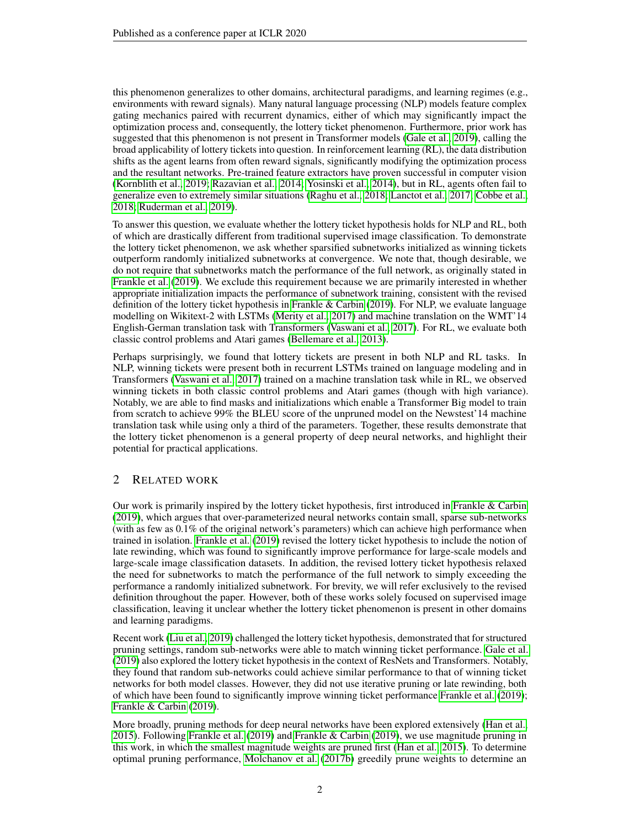this phenomenon generalizes to other domains, architectural paradigms, and learning regimes (e.g., environments with reward signals). Many natural language processing (NLP) models feature complex gating mechanics paired with recurrent dynamics, either of which may significantly impact the optimization process and, consequently, the lottery ticket phenomenon. Furthermore, prior work has suggested that this phenomenon is not present in Transformer models [\(Gale et al., 2019\)](#page-8-6), calling the broad applicability of lottery tickets into question. In reinforcement learning (RL), the data distribution shifts as the agent learns from often reward signals, significantly modifying the optimization process and the resultant networks. Pre-trained feature extractors have proven successful in computer vision [\(Kornblith et al., 2019;](#page-9-3) [Razavian et al., 2014;](#page-9-4) [Yosinski et al., 2014\)](#page-10-2), but in RL, agents often fail to generalize even to extremely similar situations [\(Raghu et al., 2018;](#page-9-5) [Lanctot et al., 2017;](#page-9-6) [Cobbe et al.,](#page-8-7) [2018;](#page-8-7) [Ruderman et al., 2019\)](#page-9-7).

To answer this question, we evaluate whether the lottery ticket hypothesis holds for NLP and RL, both of which are drastically different from traditional supervised image classification. To demonstrate the lottery ticket phenomenon, we ask whether sparsified subnetworks initialized as winning tickets outperform randomly initialized subnetworks at convergence. We note that, though desirable, we do not require that subnetworks match the performance of the full network, as originally stated in [Frankle et al.](#page-8-1) [\(2019\)](#page-8-1). We exclude this requirement because we are primarily interested in whether appropriate initialization impacts the performance of subnetwork training, consistent with the revised definition of the lottery ticket hypothesis in [Frankle & Carbin](#page-8-0) [\(2019\)](#page-8-0). For NLP, we evaluate language modelling on Wikitext-2 with LSTMs [\(Merity et al., 2017\)](#page-9-8) and machine translation on the WMT'14 English-German translation task with Transformers [\(Vaswani et al., 2017\)](#page-10-0). For RL, we evaluate both classic control problems and Atari games [\(Bellemare et al., 2013\)](#page-8-8).

Perhaps surprisingly, we found that lottery tickets are present in both NLP and RL tasks. In NLP, winning tickets were present both in recurrent LSTMs trained on language modeling and in Transformers [\(Vaswani et al., 2017\)](#page-10-0) trained on a machine translation task while in RL, we observed winning tickets in both classic control problems and Atari games (though with high variance). Notably, we are able to find masks and initializations which enable a Transformer Big model to train from scratch to achieve 99% the BLEU score of the unpruned model on the Newstest'14 machine translation task while using only a third of the parameters. Together, these results demonstrate that the lottery ticket phenomenon is a general property of deep neural networks, and highlight their potential for practical applications.

# 2 RELATED WORK

Our work is primarily inspired by the lottery ticket hypothesis, first introduced in [Frankle & Carbin](#page-8-0) [\(2019\)](#page-8-0), which argues that over-parameterized neural networks contain small, sparse sub-networks (with as few as 0.1% of the original network's parameters) which can achieve high performance when trained in isolation. [Frankle et al.](#page-8-1) [\(2019\)](#page-8-1) revised the lottery ticket hypothesis to include the notion of late rewinding, which was found to significantly improve performance for large-scale models and large-scale image classification datasets. In addition, the revised lottery ticket hypothesis relaxed the need for subnetworks to match the performance of the full network to simply exceeding the performance a randomly initialized subnetwork. For brevity, we will refer exclusively to the revised definition throughout the paper. However, both of these works solely focused on supervised image classification, leaving it unclear whether the lottery ticket phenomenon is present in other domains and learning paradigms.

Recent work [\(Liu et al., 2019\)](#page-9-2) challenged the lottery ticket hypothesis, demonstrated that for structured pruning settings, random sub-networks were able to match winning ticket performance. [Gale et al.](#page-8-6) [\(2019\)](#page-8-6) also explored the lottery ticket hypothesis in the context of ResNets and Transformers. Notably, they found that random sub-networks could achieve similar performance to that of winning ticket networks for both model classes. However, they did not use iterative pruning or late rewinding, both of which have been found to significantly improve winning ticket performance [Frankle et al.](#page-8-1) [\(2019\)](#page-8-1); [Frankle & Carbin](#page-8-0) [\(2019\)](#page-8-0).

More broadly, pruning methods for deep neural networks have been explored extensively [\(Han et al.,](#page-8-9) [2015\)](#page-8-9). Following [Frankle et al.](#page-8-1) [\(2019\)](#page-8-1) and [Frankle & Carbin](#page-8-0) [\(2019\)](#page-8-0), we use magnitude pruning in this work, in which the smallest magnitude weights are pruned first [\(Han et al., 2015\)](#page-8-9). To determine optimal pruning performance, [Molchanov et al.](#page-9-9) [\(2017b\)](#page-9-9) greedily prune weights to determine an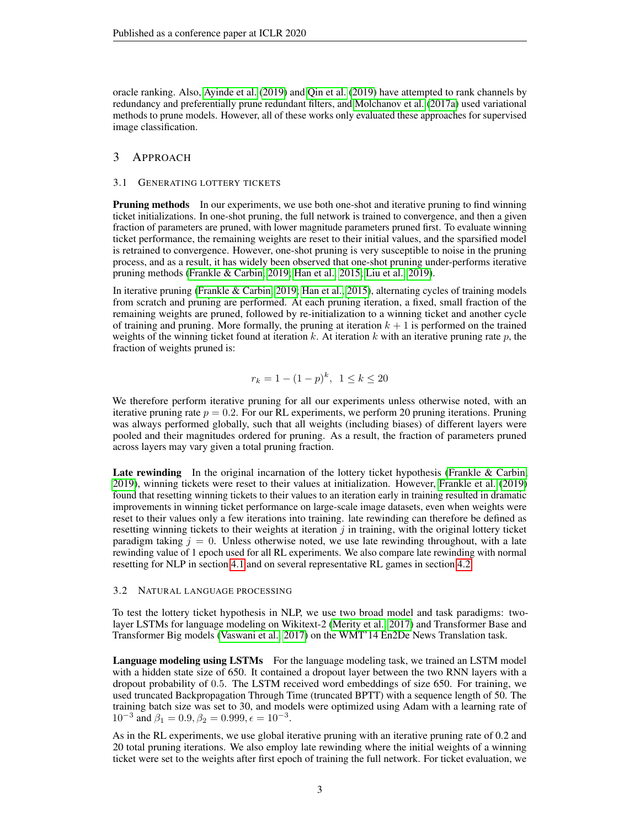oracle ranking. Also, [Ayinde et al.](#page-8-10) [\(2019\)](#page-8-10) and [Qin et al.](#page-9-10) [\(2019\)](#page-9-10) have attempted to rank channels by redundancy and preferentially prune redundant filters, and [Molchanov et al.](#page-9-11) [\(2017a\)](#page-9-11) used variational methods to prune models. However, all of these works only evaluated these approaches for supervised image classification.

## 3 APPROACH

## 3.1 GENERATING LOTTERY TICKETS

Pruning methods In our experiments, we use both one-shot and iterative pruning to find winning ticket initializations. In one-shot pruning, the full network is trained to convergence, and then a given fraction of parameters are pruned, with lower magnitude parameters pruned first. To evaluate winning ticket performance, the remaining weights are reset to their initial values, and the sparsified model is retrained to convergence. However, one-shot pruning is very susceptible to noise in the pruning process, and as a result, it has widely been observed that one-shot pruning under-performs iterative pruning methods [\(Frankle & Carbin, 2019;](#page-8-0) [Han et al., 2015;](#page-8-9) [Liu et al., 2019\)](#page-9-2).

In iterative pruning [\(Frankle & Carbin, 2019;](#page-8-0) [Han et al., 2015\)](#page-8-9), alternating cycles of training models from scratch and pruning are performed. At each pruning iteration, a fixed, small fraction of the remaining weights are pruned, followed by re-initialization to a winning ticket and another cycle of training and pruning. More formally, the pruning at iteration  $k + 1$  is performed on the trained weights of the winning ticket found at iteration k. At iteration k with an iterative pruning rate  $p$ , the fraction of weights pruned is:

$$
r_k = 1 - (1 - p)^k, \ \ 1 \le k \le 20
$$

We therefore perform iterative pruning for all our experiments unless otherwise noted, with an iterative pruning rate  $p = 0.2$ . For our RL experiments, we perform 20 pruning iterations. Pruning was always performed globally, such that all weights (including biases) of different layers were pooled and their magnitudes ordered for pruning. As a result, the fraction of parameters pruned across layers may vary given a total pruning fraction.

Late rewinding In the original incarnation of the lottery ticket hypothesis [\(Frankle & Carbin,](#page-8-0) [2019\)](#page-8-0), winning tickets were reset to their values at initialization. However, [Frankle et al.](#page-8-1) [\(2019\)](#page-8-1) found that resetting winning tickets to their values to an iteration early in training resulted in dramatic improvements in winning ticket performance on large-scale image datasets, even when weights were reset to their values only a few iterations into training. late rewinding can therefore be defined as resetting winning tickets to their weights at iteration  $j$  in training, with the original lottery ticket paradigm taking  $j = 0$ . Unless otherwise noted, we use late rewinding throughout, with a late rewinding value of 1 epoch used for all RL experiments. We also compare late rewinding with normal resetting for NLP in section [4.1](#page-4-0) and on several representative RL games in section [4.2.](#page-5-0)

#### 3.2 NATURAL LANGUAGE PROCESSING

To test the lottery ticket hypothesis in NLP, we use two broad model and task paradigms: twolayer LSTMs for language modeling on Wikitext-2 [\(Merity et al., 2017\)](#page-9-8) and Transformer Base and Transformer Big models [\(Vaswani et al., 2017\)](#page-10-0) on the WMT'14 En2De News Translation task.

Language modeling using LSTMs For the language modeling task, we trained an LSTM model with a hidden state size of 650. It contained a dropout layer between the two RNN layers with a dropout probability of 0.5. The LSTM received word embeddings of size 650. For training, we used truncated Backpropagation Through Time (truncated BPTT) with a sequence length of 50. The training batch size was set to 30, and models were optimized using Adam with a learning rate of  $10^{-3}$  and  $\beta_1 = 0.9, \beta_2 = 0.999, \epsilon = 10^{-3}$ .

As in the RL experiments, we use global iterative pruning with an iterative pruning rate of 0.2 and 20 total pruning iterations. We also employ late rewinding where the initial weights of a winning ticket were set to the weights after first epoch of training the full network. For ticket evaluation, we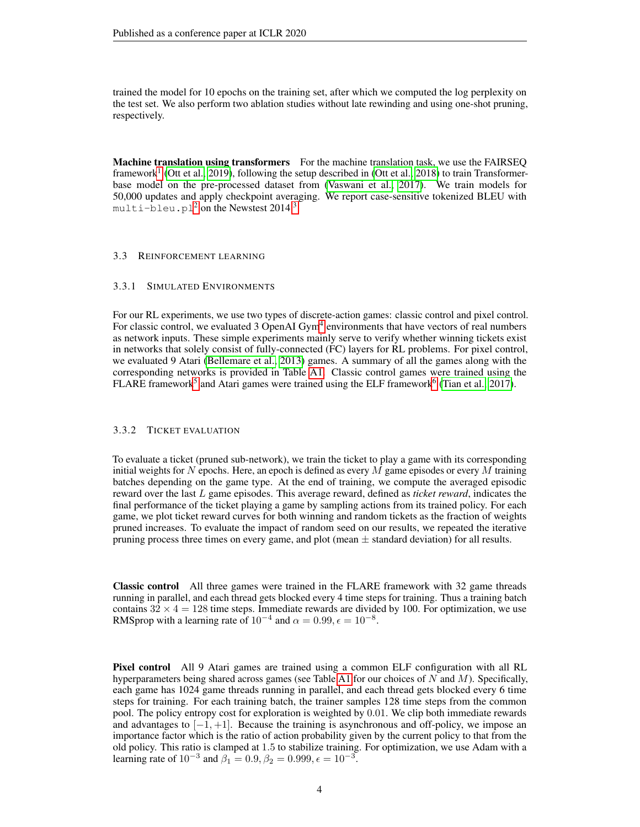trained the model for 10 epochs on the training set, after which we computed the log perplexity on the test set. We also perform two ablation studies without late rewinding and using one-shot pruning, respectively.

Machine translation using transformers For the machine translation task, we use the FAIRSEO framework<sup>[1](#page-4-1)</sup> [\(Ott et al., 2019\)](#page-9-12), following the setup described in [\(Ott et al., 2018\)](#page-9-13) to train Transformerbase model on the pre-processed dataset from [\(Vaswani et al., 2017\)](#page-10-0). We train models for 50,000 updates and apply checkpoint averaging. We report case-sensitive tokenized BLEU with  $m$ ulti-bleu.pl<sup>[2](#page-4-2)</sup> on the Newstest 2014<sup>[3](#page-4-3)</sup>.

#### 3.3 REINFORCEMENT LEARNING

## <span id="page-3-0"></span>3.3.1 SIMULATED ENVIRONMENTS

For our RL experiments, we use two types of discrete-action games: classic control and pixel control. For classic control, we evaluated 3 OpenAI Gym<sup>[4](#page-4-4)</sup> environments that have vectors of real numbers as network inputs. These simple experiments mainly serve to verify whether winning tickets exist in networks that solely consist of fully-connected (FC) layers for RL problems. For pixel control, we evaluated 9 Atari [\(Bellemare et al., 2013\)](#page-8-8) games. A summary of all the games along with the corresponding networks is provided in Table [A1.](#page-11-0) Classic control games were trained using the FLARE framework<sup>[5](#page-4-5)</sup> and Atari games were trained using the ELF framework<sup>[6](#page-4-6)</sup> [\(Tian et al., 2017\)](#page-9-14).

## <span id="page-3-1"></span>3.3.2 TICKET EVALUATION

To evaluate a ticket (pruned sub-network), we train the ticket to play a game with its corresponding initial weights for N epochs. Here, an epoch is defined as every M game episodes or every M training batches depending on the game type. At the end of training, we compute the averaged episodic reward over the last L game episodes. This average reward, defined as *ticket reward*, indicates the final performance of the ticket playing a game by sampling actions from its trained policy. For each game, we plot ticket reward curves for both winning and random tickets as the fraction of weights pruned increases. To evaluate the impact of random seed on our results, we repeated the iterative pruning process three times on every game, and plot (mean  $\pm$  standard deviation) for all results.

Classic control All three games were trained in the FLARE framework with 32 game threads running in parallel, and each thread gets blocked every 4 time steps for training. Thus a training batch contains  $32 \times 4 = 128$  time steps. Immediate rewards are divided by 100. For optimization, we use RMSprop with a learning rate of  $10^{-4}$  and  $\alpha = 0.99, \epsilon = 10^{-8}$ .

Pixel control All 9 Atari games are trained using a common ELF configuration with all RL hyperparameters being shared across games (see Table [A1](#page-11-0) for our choices of  $N$  and  $M$ ). Specifically, each game has 1024 game threads running in parallel, and each thread gets blocked every 6 time steps for training. For each training batch, the trainer samples 128 time steps from the common pool. The policy entropy cost for exploration is weighted by 0.01. We clip both immediate rewards and advantages to  $[-1, +1]$ . Because the training is asynchronous and off-policy, we impose an importance factor which is the ratio of action probability given by the current policy to that from the old policy. This ratio is clamped at 1.5 to stabilize training. For optimization, we use Adam with a learning rate of  $10^{-3}$  and  $\beta_1 = 0.9, \beta_2 = 0.999, \epsilon = 10^{-3}$ .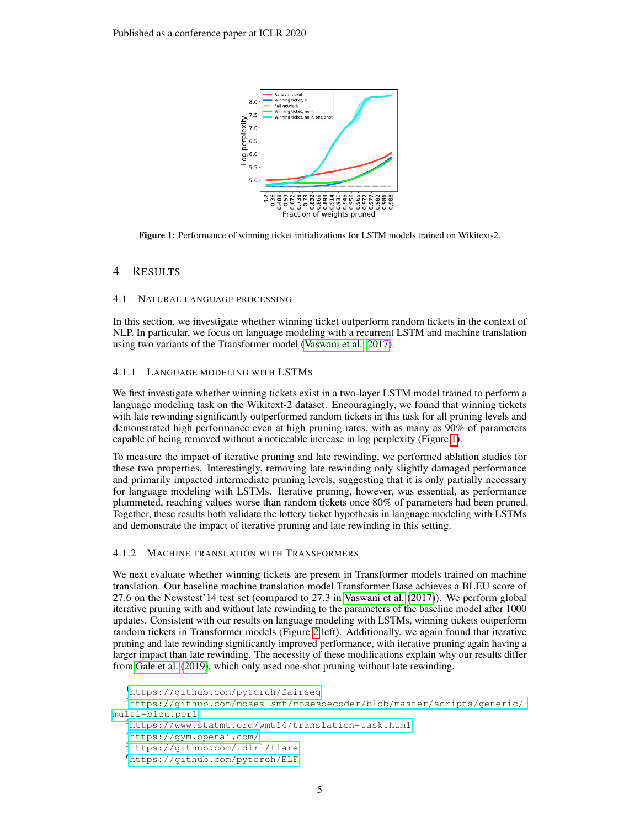<span id="page-4-7"></span>

Figure 1: Performance of winning ticket initializations for LSTM models trained on Wikitext-2.

## 4 RESULTS

## <span id="page-4-0"></span>4.1 NATURAL LANGUAGE PROCESSING

In this section, we investigate whether winning ticket outperform random tickets in the context of NLP. In particular, we focus on language modeling with a recurrent LSTM and machine translation using two variants of the Transformer model [\(Vaswani et al., 2017\)](#page-10-0).

## 4.1.1 LANGUAGE MODELING WITH LSTMS

We first investigate whether winning tickets exist in a two-layer LSTM model trained to perform a language modeling task on the Wikitext-2 dataset. Encouragingly, we found that winning tickets with late rewinding significantly outperformed random tickets in this task for all pruning levels and demonstrated high performance even at high pruning rates, with as many as 90% of parameters capable of being removed without a noticeable increase in log perplexity (Figure [1\)](#page-4-7).

To measure the impact of iterative pruning and late rewinding, we performed ablation studies for these two properties. Interestingly, removing late rewinding only slightly damaged performance and primarily impacted intermediate pruning levels, suggesting that it is only partially necessary for language modeling with LSTMs. Iterative pruning, however, was essential, as performance plummeted, reaching values worse than random tickets once 80% of parameters had been pruned. Together, these results both validate the lottery ticket hypothesis in language modeling with LSTMs and demonstrate the impact of iterative pruning and late rewinding in this setting.

#### 4.1.2 MACHINE TRANSLATION WITH TRANSFORMERS

We next evaluate whether winning tickets are present in Transformer models trained on machine translation. Our baseline machine translation model Transformer Base achieves a BLEU score of 27.6 on the Newstest'14 test set (compared to 27.3 in [Vaswani et al.](#page-10-0) [\(2017\)](#page-10-0)). We perform global iterative pruning with and without late rewinding to the parameters of the baseline model after 1000 updates. Consistent with our results on language modeling with LSTMs, winning tickets outperform random tickets in Transformer models (Figure [2](#page-5-1) left). Additionally, we again found that iterative pruning and late rewinding significantly improved performance, with iterative pruning again having a larger impact than late rewinding. The necessity of these modifications explain why our results differ from [Gale et al.](#page-8-6) [\(2019\)](#page-8-6), which only used one-shot pruning without late rewinding.

<span id="page-4-2"></span><span id="page-4-1"></span><sup>1</sup><https://github.com/pytorch/fairseq>

<sup>2</sup>[https://github.com/moses-smt/mosesdecoder/blob/master/scripts/generic/](https://github.com/moses-smt/mosesdecoder/blob/master/scripts/generic/multi-bleu.perl) [multi-bleu.perl](https://github.com/moses-smt/mosesdecoder/blob/master/scripts/generic/multi-bleu.perl)

<span id="page-4-3"></span><sup>3</sup><https://www.statmt.org/wmt14/translation-task.html>

<span id="page-4-4"></span><sup>4</sup><https://gym.openai.com/>

<span id="page-4-5"></span><sup>5</sup><https://github.com/idlrl/flare>

<span id="page-4-6"></span><sup>6</sup><https://github.com/pytorch/ELF>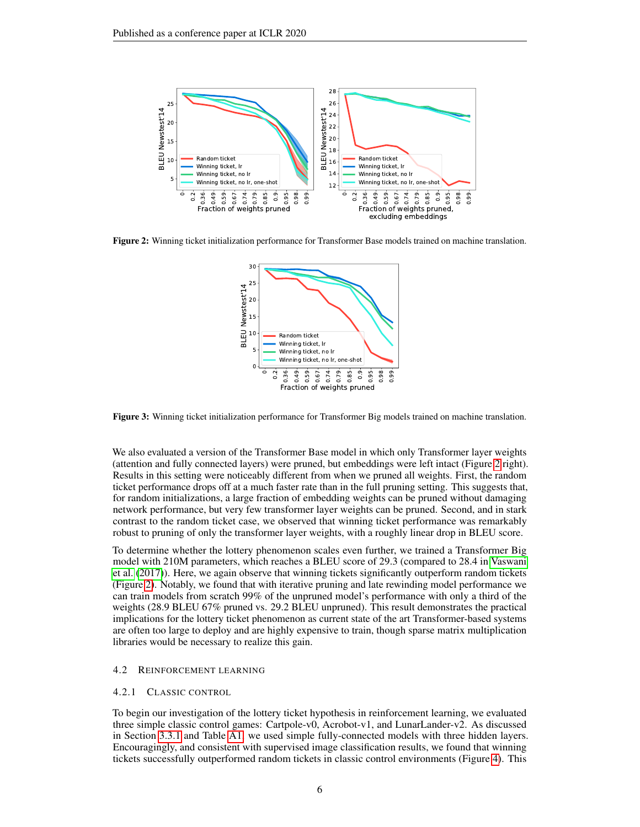<span id="page-5-1"></span>

Figure 2: Winning ticket initialization performance for Transformer Base models trained on machine translation.



Figure 3: Winning ticket initialization performance for Transformer Big models trained on machine translation.

We also evaluated a version of the Transformer Base model in which only Transformer layer weights (attention and fully connected layers) were pruned, but embeddings were left intact (Figure [2](#page-5-1) right). Results in this setting were noticeably different from when we pruned all weights. First, the random ticket performance drops off at a much faster rate than in the full pruning setting. This suggests that, for random initializations, a large fraction of embedding weights can be pruned without damaging network performance, but very few transformer layer weights can be pruned. Second, and in stark contrast to the random ticket case, we observed that winning ticket performance was remarkably robust to pruning of only the transformer layer weights, with a roughly linear drop in BLEU score.

To determine whether the lottery phenomenon scales even further, we trained a Transformer Big model with 210M parameters, which reaches a BLEU score of 29.3 (compared to 28.4 in [Vaswani](#page-10-0) [et al.](#page-10-0) [\(2017\)](#page-10-0)). Here, we again observe that winning tickets significantly outperform random tickets (Figure [2\)](#page-5-1). Notably, we found that with iterative pruning and late rewinding model performance we can train models from scratch 99% of the unpruned model's performance with only a third of the weights (28.9 BLEU 67% pruned vs. 29.2 BLEU unpruned). This result demonstrates the practical implications for the lottery ticket phenomenon as current state of the art Transformer-based systems are often too large to deploy and are highly expensive to train, though sparse matrix multiplication libraries would be necessary to realize this gain.

## <span id="page-5-0"></span>4.2 REINFORCEMENT LEARNING

#### 4.2.1 CLASSIC CONTROL

To begin our investigation of the lottery ticket hypothesis in reinforcement learning, we evaluated three simple classic control games: Cartpole-v0, Acrobot-v1, and LunarLander-v2. As discussed in Section [3.3.1](#page-3-0) and Table [A1,](#page-11-0) we used simple fully-connected models with three hidden layers. Encouragingly, and consistent with supervised image classification results, we found that winning tickets successfully outperformed random tickets in classic control environments (Figure [4\)](#page-6-0). This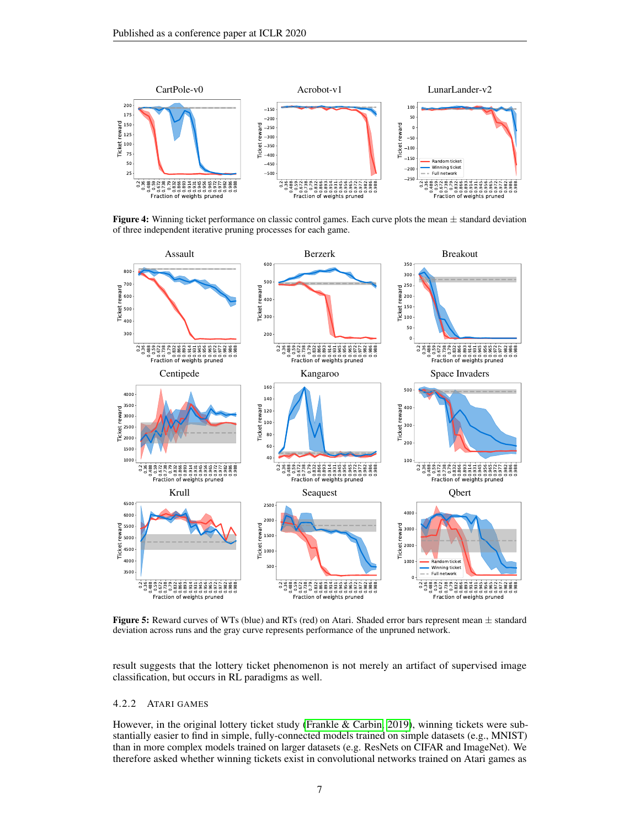<span id="page-6-0"></span>

**Figure 4:** Winning ticket performance on classic control games. Each curve plots the mean  $\pm$  standard deviation of three independent iterative pruning processes for each game.

<span id="page-6-1"></span>

**Figure 5:** Reward curves of WTs (blue) and RTs (red) on Atari. Shaded error bars represent mean  $\pm$  standard deviation across runs and the gray curve represents performance of the unpruned network.

result suggests that the lottery ticket phenomenon is not merely an artifact of supervised image classification, but occurs in RL paradigms as well.

## 4.2.2 ATARI GAMES

However, in the original lottery ticket study [\(Frankle & Carbin, 2019\)](#page-8-0), winning tickets were substantially easier to find in simple, fully-connected models trained on simple datasets (e.g., MNIST) than in more complex models trained on larger datasets (e.g. ResNets on CIFAR and ImageNet). We therefore asked whether winning tickets exist in convolutional networks trained on Atari games as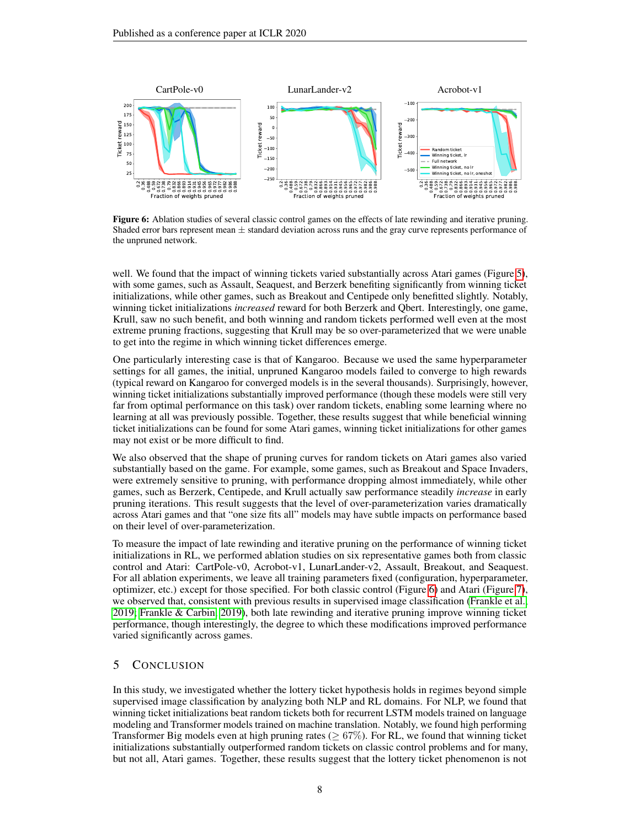<span id="page-7-0"></span>

Figure 6: Ablation studies of several classic control games on the effects of late rewinding and iterative pruning. Shaded error bars represent mean ± standard deviation across runs and the gray curve represents performance of the unpruned network.

well. We found that the impact of winning tickets varied substantially across Atari games (Figure [5\)](#page-6-1), with some games, such as Assault, Seaquest, and Berzerk benefiting significantly from winning ticket initializations, while other games, such as Breakout and Centipede only benefitted slightly. Notably, winning ticket initializations *increased* reward for both Berzerk and Qbert. Interestingly, one game, Krull, saw no such benefit, and both winning and random tickets performed well even at the most extreme pruning fractions, suggesting that Krull may be so over-parameterized that we were unable to get into the regime in which winning ticket differences emerge.

One particularly interesting case is that of Kangaroo. Because we used the same hyperparameter settings for all games, the initial, unpruned Kangaroo models failed to converge to high rewards (typical reward on Kangaroo for converged models is in the several thousands). Surprisingly, however, winning ticket initializations substantially improved performance (though these models were still very far from optimal performance on this task) over random tickets, enabling some learning where no learning at all was previously possible. Together, these results suggest that while beneficial winning ticket initializations can be found for some Atari games, winning ticket initializations for other games may not exist or be more difficult to find.

We also observed that the shape of pruning curves for random tickets on Atari games also varied substantially based on the game. For example, some games, such as Breakout and Space Invaders, were extremely sensitive to pruning, with performance dropping almost immediately, while other games, such as Berzerk, Centipede, and Krull actually saw performance steadily *increase* in early pruning iterations. This result suggests that the level of over-parameterization varies dramatically across Atari games and that "one size fits all" models may have subtle impacts on performance based on their level of over-parameterization.

To measure the impact of late rewinding and iterative pruning on the performance of winning ticket initializations in RL, we performed ablation studies on six representative games both from classic control and Atari: CartPole-v0, Acrobot-v1, LunarLander-v2, Assault, Breakout, and Seaquest. For all ablation experiments, we leave all training parameters fixed (configuration, hyperparameter, optimizer, etc.) except for those specified. For both classic control (Figure [6\)](#page-7-0) and Atari (Figure [7\)](#page-8-11), we observed that, consistent with previous results in supervised image classification [\(Frankle et al.,](#page-8-1) [2019;](#page-8-1) [Frankle & Carbin, 2019\)](#page-8-0), both late rewinding and iterative pruning improve winning ticket performance, though interestingly, the degree to which these modifications improved performance varied significantly across games.

# 5 CONCLUSION

In this study, we investigated whether the lottery ticket hypothesis holds in regimes beyond simple supervised image classification by analyzing both NLP and RL domains. For NLP, we found that winning ticket initializations beat random tickets both for recurrent LSTM models trained on language modeling and Transformer models trained on machine translation. Notably, we found high performing Transformer Big models even at high pruning rates ( $\geq 67\%$ ). For RL, we found that winning ticket initializations substantially outperformed random tickets on classic control problems and for many, but not all, Atari games. Together, these results suggest that the lottery ticket phenomenon is not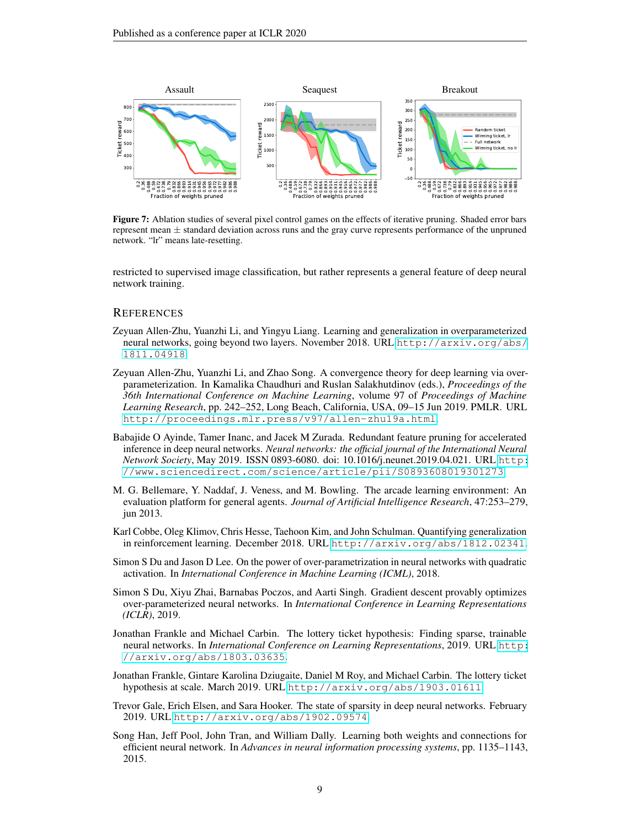<span id="page-8-11"></span>

Figure 7: Ablation studies of several pixel control games on the effects of iterative pruning. Shaded error bars represent mean  $\pm$  standard deviation across runs and the gray curve represents performance of the unpruned network. "lr" means late-resetting.

restricted to supervised image classification, but rather represents a general feature of deep neural network training.

## **REFERENCES**

- <span id="page-8-3"></span>Zeyuan Allen-Zhu, Yuanzhi Li, and Yingyu Liang. Learning and generalization in overparameterized neural networks, going beyond two layers. November 2018. URL [http://arxiv.org/abs/](http://arxiv.org/abs/1811.04918) [1811.04918](http://arxiv.org/abs/1811.04918).
- <span id="page-8-2"></span>Zeyuan Allen-Zhu, Yuanzhi Li, and Zhao Song. A convergence theory for deep learning via overparameterization. In Kamalika Chaudhuri and Ruslan Salakhutdinov (eds.), *Proceedings of the 36th International Conference on Machine Learning*, volume 97 of *Proceedings of Machine Learning Research*, pp. 242–252, Long Beach, California, USA, 09–15 Jun 2019. PMLR. URL <http://proceedings.mlr.press/v97/allen-zhu19a.html>.
- <span id="page-8-10"></span>Babajide O Ayinde, Tamer Inanc, and Jacek M Zurada. Redundant feature pruning for accelerated inference in deep neural networks. *Neural networks: the official journal of the International Neural Network Society*, May 2019. ISSN 0893-6080. doi: 10.1016/j.neunet.2019.04.021. URL [http:](http://www.sciencedirect.com/science/article/pii/S0893608019301273) [//www.sciencedirect.com/science/article/pii/S0893608019301273](http://www.sciencedirect.com/science/article/pii/S0893608019301273).
- <span id="page-8-8"></span>M. G. Bellemare, Y. Naddaf, J. Veness, and M. Bowling. The arcade learning environment: An evaluation platform for general agents. *Journal of Artificial Intelligence Research*, 47:253–279, jun 2013.
- <span id="page-8-7"></span>Karl Cobbe, Oleg Klimov, Chris Hesse, Taehoon Kim, and John Schulman. Quantifying generalization in reinforcement learning. December 2018. URL <http://arxiv.org/abs/1812.02341>.
- <span id="page-8-4"></span>Simon S Du and Jason D Lee. On the power of over-parametrization in neural networks with quadratic activation. In *International Conference in Machine Learning (ICML)*, 2018.
- <span id="page-8-5"></span>Simon S Du, Xiyu Zhai, Barnabas Poczos, and Aarti Singh. Gradient descent provably optimizes over-parameterized neural networks. In *International Conference in Learning Representations (ICLR)*, 2019.
- <span id="page-8-0"></span>Jonathan Frankle and Michael Carbin. The lottery ticket hypothesis: Finding sparse, trainable neural networks. In *International Conference on Learning Representations*, 2019. URL [http:](http://arxiv.org/abs/1803.03635) [//arxiv.org/abs/1803.03635](http://arxiv.org/abs/1803.03635).
- <span id="page-8-1"></span>Jonathan Frankle, Gintare Karolina Dziugaite, Daniel M Roy, and Michael Carbin. The lottery ticket hypothesis at scale. March 2019. URL <http://arxiv.org/abs/1903.01611>.
- <span id="page-8-6"></span>Trevor Gale, Erich Elsen, and Sara Hooker. The state of sparsity in deep neural networks. February 2019. URL <http://arxiv.org/abs/1902.09574>.
- <span id="page-8-9"></span>Song Han, Jeff Pool, John Tran, and William Dally. Learning both weights and connections for efficient neural network. In *Advances in neural information processing systems*, pp. 1135–1143, 2015.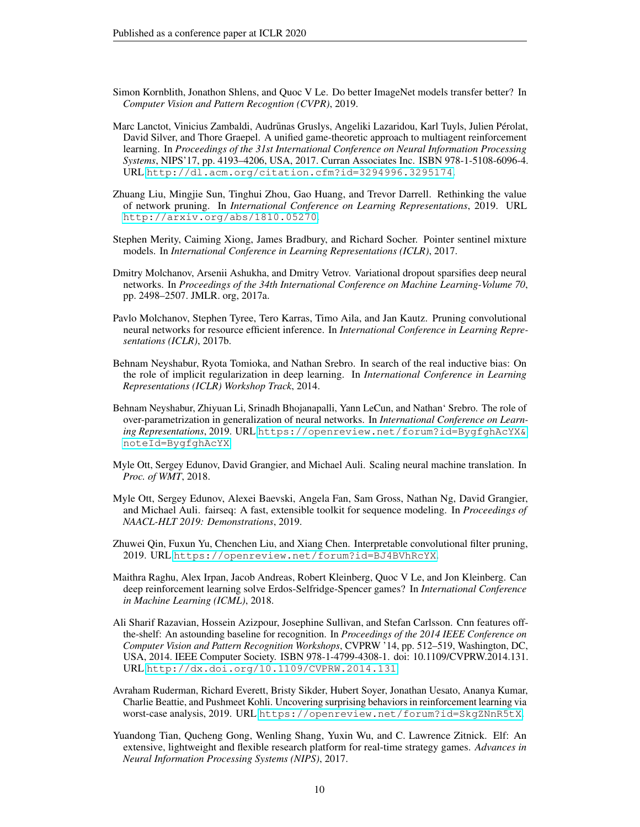- <span id="page-9-3"></span>Simon Kornblith, Jonathon Shlens, and Quoc V Le. Do better ImageNet models transfer better? In *Computer Vision and Pattern Recogntion (CVPR)*, 2019.
- <span id="page-9-6"></span>Marc Lanctot, Vinicius Zambaldi, Audrūnas Gruslys, Angeliki Lazaridou, Karl Tuyls, Julien Pérolat, David Silver, and Thore Graepel. A unified game-theoretic approach to multiagent reinforcement learning. In *Proceedings of the 31st International Conference on Neural Information Processing Systems*, NIPS'17, pp. 4193–4206, USA, 2017. Curran Associates Inc. ISBN 978-1-5108-6096-4. URL <http://dl.acm.org/citation.cfm?id=3294996.3295174>.
- <span id="page-9-2"></span>Zhuang Liu, Mingjie Sun, Tinghui Zhou, Gao Huang, and Trevor Darrell. Rethinking the value of network pruning. In *International Conference on Learning Representations*, 2019. URL <http://arxiv.org/abs/1810.05270>.
- <span id="page-9-8"></span>Stephen Merity, Caiming Xiong, James Bradbury, and Richard Socher. Pointer sentinel mixture models. In *International Conference in Learning Representations (ICLR)*, 2017.
- <span id="page-9-11"></span>Dmitry Molchanov, Arsenii Ashukha, and Dmitry Vetrov. Variational dropout sparsifies deep neural networks. In *Proceedings of the 34th International Conference on Machine Learning-Volume 70*, pp. 2498–2507. JMLR. org, 2017a.
- <span id="page-9-9"></span>Pavlo Molchanov, Stephen Tyree, Tero Karras, Timo Aila, and Jan Kautz. Pruning convolutional neural networks for resource efficient inference. In *International Conference in Learning Representations (ICLR)*, 2017b.
- <span id="page-9-0"></span>Behnam Neyshabur, Ryota Tomioka, and Nathan Srebro. In search of the real inductive bias: On the role of implicit regularization in deep learning. In *International Conference in Learning Representations (ICLR) Workshop Track*, 2014.
- <span id="page-9-1"></span>Behnam Neyshabur, Zhiyuan Li, Srinadh Bhojanapalli, Yann LeCun, and Nathan' Srebro. The role of over-parametrization in generalization of neural networks. In *International Conference on Learning Representations*, 2019. URL [https://openreview.net/forum?id=BygfghAcYX&](https://openreview.net/forum?id=BygfghAcYX¬eId=BygfghAcYX) [noteId=BygfghAcYX](https://openreview.net/forum?id=BygfghAcYX¬eId=BygfghAcYX).
- <span id="page-9-13"></span>Myle Ott, Sergey Edunov, David Grangier, and Michael Auli. Scaling neural machine translation. In *Proc. of WMT*, 2018.
- <span id="page-9-12"></span>Myle Ott, Sergey Edunov, Alexei Baevski, Angela Fan, Sam Gross, Nathan Ng, David Grangier, and Michael Auli. fairseq: A fast, extensible toolkit for sequence modeling. In *Proceedings of NAACL-HLT 2019: Demonstrations*, 2019.
- <span id="page-9-10"></span>Zhuwei Qin, Fuxun Yu, Chenchen Liu, and Xiang Chen. Interpretable convolutional filter pruning, 2019. URL <https://openreview.net/forum?id=BJ4BVhRcYX>.
- <span id="page-9-5"></span>Maithra Raghu, Alex Irpan, Jacob Andreas, Robert Kleinberg, Quoc V Le, and Jon Kleinberg. Can deep reinforcement learning solve Erdos-Selfridge-Spencer games? In *International Conference in Machine Learning (ICML)*, 2018.
- <span id="page-9-4"></span>Ali Sharif Razavian, Hossein Azizpour, Josephine Sullivan, and Stefan Carlsson. Cnn features offthe-shelf: An astounding baseline for recognition. In *Proceedings of the 2014 IEEE Conference on Computer Vision and Pattern Recognition Workshops*, CVPRW '14, pp. 512–519, Washington, DC, USA, 2014. IEEE Computer Society. ISBN 978-1-4799-4308-1. doi: 10.1109/CVPRW.2014.131. URL <http://dx.doi.org/10.1109/CVPRW.2014.131>.
- <span id="page-9-7"></span>Avraham Ruderman, Richard Everett, Bristy Sikder, Hubert Soyer, Jonathan Uesato, Ananya Kumar, Charlie Beattie, and Pushmeet Kohli. Uncovering surprising behaviors in reinforcement learning via worst-case analysis, 2019. URL <https://openreview.net/forum?id=SkgZNnR5tX>.
- <span id="page-9-14"></span>Yuandong Tian, Qucheng Gong, Wenling Shang, Yuxin Wu, and C. Lawrence Zitnick. Elf: An extensive, lightweight and flexible research platform for real-time strategy games. *Advances in Neural Information Processing Systems (NIPS)*, 2017.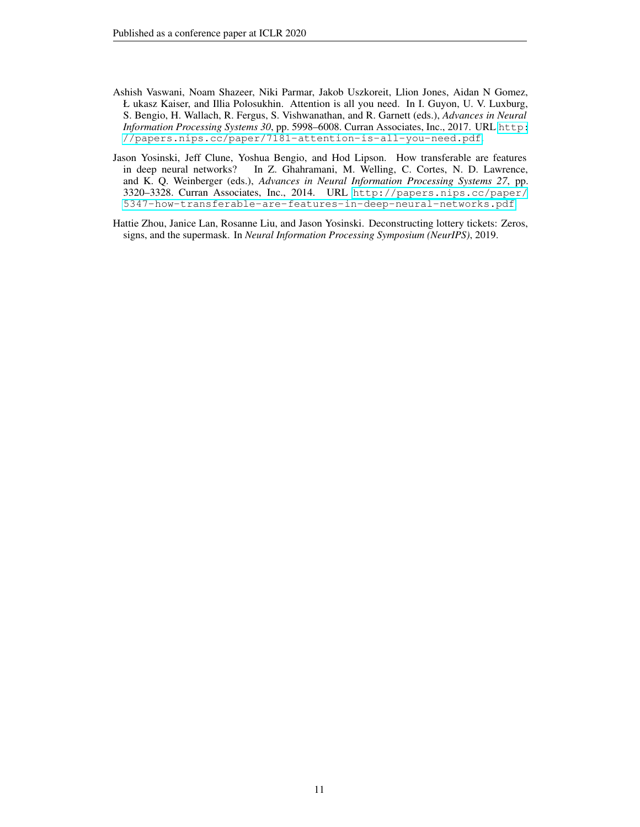- <span id="page-10-0"></span>Ashish Vaswani, Noam Shazeer, Niki Parmar, Jakob Uszkoreit, Llion Jones, Aidan N Gomez, Ł ukasz Kaiser, and Illia Polosukhin. Attention is all you need. In I. Guyon, U. V. Luxburg, S. Bengio, H. Wallach, R. Fergus, S. Vishwanathan, and R. Garnett (eds.), *Advances in Neural Information Processing Systems 30*, pp. 5998–6008. Curran Associates, Inc., 2017. URL [http:](http://papers.nips.cc/paper/7181-attention-is-all-you-need.pdf) [//papers.nips.cc/paper/7181-attention-is-all-you-need.pdf](http://papers.nips.cc/paper/7181-attention-is-all-you-need.pdf).
- <span id="page-10-2"></span>Jason Yosinski, Jeff Clune, Yoshua Bengio, and Hod Lipson. How transferable are features in deep neural networks? In Z. Ghahramani, M. Welling, C. Cortes, N. D. Lawrence, and K. Q. Weinberger (eds.), *Advances in Neural Information Processing Systems 27*, pp. 3320–3328. Curran Associates, Inc., 2014. URL [http://papers.nips.cc/paper/](http://papers.nips.cc/paper/5347-how-transferable-are-features-in-deep-neural-networks.pdf) [5347-how-transferable-are-features-in-deep-neural-networks.pdf](http://papers.nips.cc/paper/5347-how-transferable-are-features-in-deep-neural-networks.pdf).
- <span id="page-10-1"></span>Hattie Zhou, Janice Lan, Rosanne Liu, and Jason Yosinski. Deconstructing lottery tickets: Zeros, signs, and the supermask. In *Neural Information Processing Symposium (NeurIPS)*, 2019.